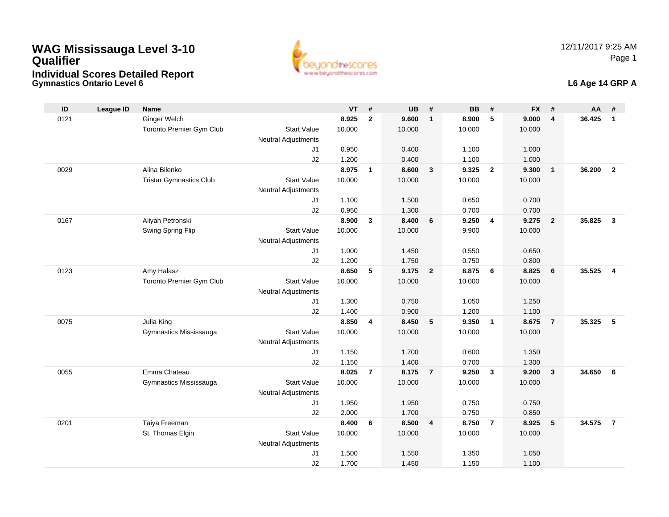**Gymnastics Ontario Level 6**



#### **L6 Age 14 GRP A**

| ID   | League ID | <b>Name</b>                    |                            | $VT$ #         |                         | <b>UB</b>      | #              | <b>BB</b>      | #                       | <b>FX</b>      | #              | AA     | #              |
|------|-----------|--------------------------------|----------------------------|----------------|-------------------------|----------------|----------------|----------------|-------------------------|----------------|----------------|--------|----------------|
| 0121 |           | Ginger Welch                   |                            | 8.925          | $\overline{2}$          | 9.600          | $\mathbf{1}$   | 8.900          | 5                       | 9.000          | $\overline{4}$ | 36.425 | $\mathbf{1}$   |
|      |           | Toronto Premier Gym Club       | <b>Start Value</b>         | 10.000         |                         | 10.000         |                | 10.000         |                         | 10.000         |                |        |                |
|      |           |                                | <b>Neutral Adjustments</b> |                |                         |                |                |                |                         |                |                |        |                |
|      |           |                                | J1                         | 0.950          |                         | 0.400          |                | 1.100          |                         | 1.000          |                |        |                |
|      |           |                                | J2                         | 1.200          |                         | 0.400          |                | 1.100          |                         | 1.000          |                |        |                |
| 0029 |           | Alina Bilenko                  |                            | 8.975          | $\mathbf{1}$            | 8.600          | $\mathbf{3}$   | 9.325          | $\overline{2}$          | 9.300          | $\overline{1}$ | 36.200 | $\overline{2}$ |
|      |           | <b>Tristar Gymnastics Club</b> | <b>Start Value</b>         | 10.000         |                         | 10.000         |                | 10.000         |                         | 10.000         |                |        |                |
|      |           |                                | <b>Neutral Adjustments</b> |                |                         |                |                |                |                         |                |                |        |                |
|      |           |                                | J1<br>J2                   | 1.100<br>0.950 |                         | 1.500<br>1.300 |                | 0.650<br>0.700 |                         | 0.700<br>0.700 |                |        |                |
| 0167 |           | Aliyah Petronski               |                            | 8.900          | 3                       | 8.400          | 6              | 9.250          | $\overline{4}$          | 9.275          | $\overline{2}$ | 35.825 | $\mathbf{3}$   |
|      |           | Swing Spring Flip              | <b>Start Value</b>         | 10.000         |                         | 10.000         |                | 9.900          |                         | 10.000         |                |        |                |
|      |           |                                | <b>Neutral Adjustments</b> |                |                         |                |                |                |                         |                |                |        |                |
|      |           |                                | J1                         | 1.000          |                         | 1.450          |                | 0.550          |                         | 0.650          |                |        |                |
|      |           |                                | J <sub>2</sub>             | 1.200          |                         | 1.750          |                | 0.750          |                         | 0.800          |                |        |                |
| 0123 |           | Amy Halasz                     |                            | 8.650          | 5                       | 9.175          | $\overline{2}$ | 8.875          | 6                       | 8.825          | 6              | 35.525 | $\overline{4}$ |
|      |           | Toronto Premier Gym Club       | <b>Start Value</b>         | 10.000         |                         | 10.000         |                | 10.000         |                         | 10.000         |                |        |                |
|      |           |                                | <b>Neutral Adjustments</b> |                |                         |                |                |                |                         |                |                |        |                |
|      |           |                                | J1                         | 1.300          |                         | 0.750          |                | 1.050          |                         | 1.250          |                |        |                |
|      |           |                                | J2                         | 1.400          |                         | 0.900          |                | 1.200          |                         | 1.100          |                |        |                |
| 0075 |           | Julia King                     |                            | 8.850          | $\overline{\mathbf{4}}$ | 8.450          | 5              | 9.350          | $\overline{1}$          | 8.675          | $\overline{7}$ | 35.325 | 5              |
|      |           | Gymnastics Mississauga         | <b>Start Value</b>         | 10.000         |                         | 10.000         |                | 10.000         |                         | 10.000         |                |        |                |
|      |           |                                | <b>Neutral Adjustments</b> |                |                         |                |                |                |                         |                |                |        |                |
|      |           |                                | J1                         | 1.150          |                         | 1.700          |                | 0.600          |                         | 1.350          |                |        |                |
|      |           |                                | J2                         | 1.150          |                         | 1.400          |                | 0.700          |                         | 1.300          |                |        |                |
| 0055 |           | Emma Chateau                   |                            | 8.025          | $\overline{7}$          | 8.175          | $\overline{7}$ | 9.250          | $\overline{\mathbf{3}}$ | 9.200          | $\mathbf{3}$   | 34.650 | 6              |
|      |           | Gymnastics Mississauga         | <b>Start Value</b>         | 10.000         |                         | 10.000         |                | 10.000         |                         | 10.000         |                |        |                |
|      |           |                                | <b>Neutral Adjustments</b> |                |                         |                |                |                |                         |                |                |        |                |
|      |           |                                | J1<br>J2                   | 1.950<br>2.000 |                         | 1.950<br>1.700 |                | 0.750<br>0.750 |                         | 0.750<br>0.850 |                |        |                |
| 0201 |           | Taiya Freeman                  |                            | 8.400          | 6                       | 8.500          | $\overline{4}$ | 8.750          | $\overline{7}$          | 8.925          | 5              | 34.575 | $\overline{7}$ |
|      |           | St. Thomas Elgin               | <b>Start Value</b>         | 10.000         |                         | 10.000         |                | 10.000         |                         | 10.000         |                |        |                |
|      |           |                                | <b>Neutral Adjustments</b> |                |                         |                |                |                |                         |                |                |        |                |
|      |           |                                | J <sub>1</sub>             | 1.500          |                         | 1.550          |                | 1.350          |                         | 1.050          |                |        |                |
|      |           |                                | J2                         | 1.700          |                         | 1.450          |                | 1.150          |                         | 1.100          |                |        |                |
|      |           |                                |                            |                |                         |                |                |                |                         |                |                |        |                |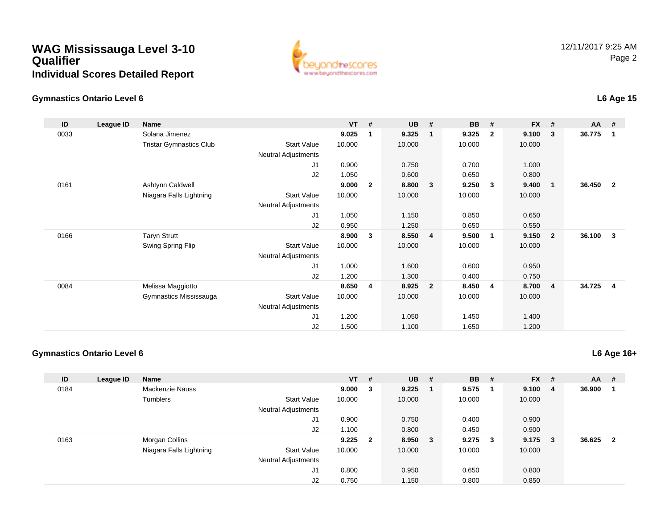

#### **Gymnastics Ontario Level 6**

#### **ID League ID Name VT # UB # BB # FX # AA #** 0033 Solana Jimenez **9.025 <sup>1</sup> 9.325 <sup>1</sup> 9.325 <sup>2</sup> 9.100 <sup>3</sup> 36.775 <sup>1</sup>** Tristar Gymnastics Clubb 3tart Value 10.000 10.000 10.000 10.000 10.000 Neutral Adjustments J1 0.900 0.750 0.700 1.000 J2 1.050 0.600 0.650 0.800 0161 Ashtynn Caldwell **9.000 <sup>2</sup> 8.800 <sup>3</sup> 9.250 <sup>3</sup> 9.400 <sup>1</sup> 36.450 <sup>2</sup>** Niagara Falls Lightning Start Value 10.000 10.000 10.000 10.000 Neutral Adjustments J1 1.050 1.150 0.850 0.650 J2 0.950 1.250 0.650 0.550 0166 Taryn Strutt **8.900 <sup>3</sup> 8.550 <sup>4</sup> 9.500 <sup>1</sup> 9.150 <sup>2</sup> 36.100 <sup>3</sup>** Swing Spring Flip Start Value 10.000 10.000 10.000 10.000 Neutral Adjustments J1 1.000 1.600 0.600 0.950 J2 1.200 1.300 0.400 0.750 0084 Melissa Maggiotto **8.650 <sup>4</sup> 8.925 <sup>2</sup> 8.450 <sup>4</sup> 8.700 <sup>4</sup> 34.725 <sup>4</sup>** Gymnastics Mississauga Start Value 10.000 10.000 10.000 10.000 Neutral Adjustments J1 1.200 1.050 1.450 1.400 J21.500 1.100 1.650 1.200

#### **Gymnastics Ontario Level 6**

| ID   | League ID | <b>Name</b>             |                            | <b>VT</b> | #                       | <b>UB</b> | #      | <b>BB</b> | #                       | <b>FX</b> | #   | <b>AA</b> | #  |
|------|-----------|-------------------------|----------------------------|-----------|-------------------------|-----------|--------|-----------|-------------------------|-----------|-----|-----------|----|
| 0184 |           | <b>Mackenzie Nauss</b>  |                            | 9.000     | $\overline{\mathbf{3}}$ | 9.225     | - 1    | 9.575     | -1                      | 9.100     | -4  | 36.900    | -1 |
|      |           | <b>Tumblers</b>         | <b>Start Value</b>         | 10.000    |                         | 10.000    |        | 10.000    |                         | 10.000    |     |           |    |
|      |           |                         | <b>Neutral Adjustments</b> |           |                         |           |        |           |                         |           |     |           |    |
|      |           |                         | J <sub>1</sub>             | 0.900     |                         | 0.750     |        | 0.400     |                         | 0.900     |     |           |    |
|      |           |                         | J2                         | 1.100     |                         | 0.800     |        | 0.450     |                         | 0.900     |     |           |    |
| 0163 |           | Morgan Collins          |                            | 9.225     | $\overline{\mathbf{2}}$ | 8.950     | $_{3}$ | 9.275     | $\overline{\mathbf{3}}$ | 9.175     | - 3 | 36.625    | -2 |
|      |           | Niagara Falls Lightning | <b>Start Value</b>         | 10.000    |                         | 10.000    |        | 10.000    |                         | 10.000    |     |           |    |
|      |           |                         | <b>Neutral Adjustments</b> |           |                         |           |        |           |                         |           |     |           |    |
|      |           |                         | J <sub>1</sub>             | 0.800     |                         | 0.950     |        | 0.650     |                         | 0.800     |     |           |    |
|      |           |                         | J <sub>2</sub>             | 0.750     |                         | 1.150     |        | 0.800     |                         | 0.850     |     |           |    |

### **L6 Age 16+**

#### **L6 Age 15**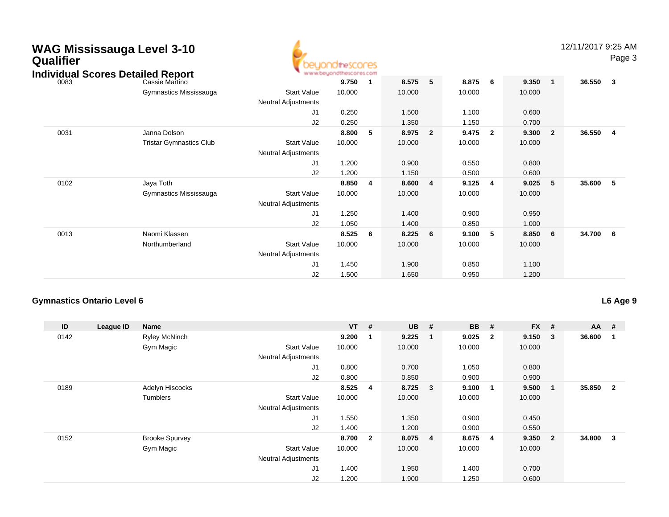| Qualifier | <b>WAG Mississauga Level 3-10</b><br><b>Individual Scores Detailed Report</b> |                                           | beuondthescores |                         |        |                |        |                         |        |                | 12/11/2017 9:25 AM | Page 3                  |
|-----------|-------------------------------------------------------------------------------|-------------------------------------------|-----------------|-------------------------|--------|----------------|--------|-------------------------|--------|----------------|--------------------|-------------------------|
| 0083      | Cassie Martino                                                                |                                           | 9.750           | $\overline{\mathbf{1}}$ | 8.575  | 5              | 8.875  | - 6                     | 9.350  | $\mathbf{1}$   | 36.550             | $\overline{\mathbf{3}}$ |
|           | Gymnastics Mississauga                                                        | <b>Start Value</b><br>Neutral Adjustments | 10.000          |                         | 10.000 |                | 10.000 |                         | 10.000 |                |                    |                         |
|           |                                                                               | J1                                        | 0.250           |                         | 1.500  |                | 1.100  |                         | 0.600  |                |                    |                         |
|           |                                                                               | J2                                        | 0.250           |                         | 1.350  |                | 1.150  |                         | 0.700  |                |                    |                         |
| 0031      | Janna Dolson                                                                  |                                           | 8.800           | 5 <sub>5</sub>          | 8.975  | $\overline{2}$ | 9.475  | $\overline{\mathbf{2}}$ | 9.300  | $\overline{2}$ | 36.550             | $\overline{\mathbf{4}}$ |
|           | <b>Tristar Gymnastics Club</b>                                                | <b>Start Value</b><br>Neutral Adjustments | 10.000          |                         | 10.000 |                | 10.000 |                         | 10.000 |                |                    |                         |
|           |                                                                               | J <sub>1</sub>                            | 1.200           |                         | 0.900  |                | 0.550  |                         | 0.800  |                |                    |                         |
|           |                                                                               | J <sub>2</sub>                            | 1.200           |                         | 1.150  |                | 0.500  |                         | 0.600  |                |                    |                         |
| 0102      | Jaya Toth                                                                     |                                           | 8.850           | 4                       | 8.600  | 4              | 9.125  | 4                       | 9.025  | 5              | 35.600             | - 5                     |
|           | Gymnastics Mississauga                                                        | <b>Start Value</b><br>Neutral Adjustments | 10.000          |                         | 10.000 |                | 10.000 |                         | 10.000 |                |                    |                         |
|           |                                                                               | J1                                        | 1.250           |                         | 1.400  |                | 0.900  |                         | 0.950  |                |                    |                         |
|           |                                                                               | J2                                        | 1.050           |                         | 1.400  |                | 0.850  |                         | 1.000  |                |                    |                         |
| 0013      | Naomi Klassen                                                                 |                                           | 8.525           | - 6                     | 8.225  | 6              | 9.100  | 5                       | 8.850  | 6              | 34.700             | 6                       |
|           | Northumberland                                                                | <b>Start Value</b><br>Neutral Adjustments | 10.000          |                         | 10.000 |                | 10.000 |                         | 10.000 |                |                    |                         |
|           |                                                                               | J <sub>1</sub>                            | 1.450           |                         | 1.900  |                | 0.850  |                         | 1.100  |                |                    |                         |
|           |                                                                               | J2                                        | 1.500           |                         | 1.650  |                | 0.950  |                         | 1.200  |                |                    |                         |

#### **Gymnastics Ontario Level 6**

**L6 Age 9**

| ID   | League ID | Name                  |                            | $VT$ #  |     | <b>UB</b> | #                       | <b>BB</b> | #            | $FX$ # |                | $AA$ # |                |
|------|-----------|-----------------------|----------------------------|---------|-----|-----------|-------------------------|-----------|--------------|--------|----------------|--------|----------------|
| 0142 |           | <b>Ryley McNinch</b>  |                            | 9.200   | - 1 | 9.225     | - 1                     | 9.025     | $\mathbf{2}$ | 9.150  | 3              | 36.600 |                |
|      |           | Gym Magic             | <b>Start Value</b>         | 10.000  |     | 10.000    |                         | 10.000    |              | 10.000 |                |        |                |
|      |           |                       | <b>Neutral Adjustments</b> |         |     |           |                         |           |              |        |                |        |                |
|      |           |                       | J1                         | 0.800   |     | 0.700     |                         | 1.050     |              | 0.800  |                |        |                |
|      |           |                       | J2                         | 0.800   |     | 0.850     |                         | 0.900     |              | 0.900  |                |        |                |
| 0189 |           | Adelyn Hiscocks       |                            | 8.525 4 |     | 8.725     | $\overline{\mathbf{3}}$ | 9.100     | -1           | 9.500  | 1              | 35.850 | $\overline{2}$ |
|      |           | Tumblers              | <b>Start Value</b>         | 10.000  |     | 10.000    |                         | 10.000    |              | 10.000 |                |        |                |
|      |           |                       | <b>Neutral Adjustments</b> |         |     |           |                         |           |              |        |                |        |                |
|      |           |                       | J <sub>1</sub>             | 1.550   |     | 1.350     |                         | 0.900     |              | 0.450  |                |        |                |
|      |           |                       | J2                         | 1.400   |     | 1.200     |                         | 0.900     |              | 0.550  |                |        |                |
| 0152 |           | <b>Brooke Spurvey</b> |                            | 8.700 2 |     | 8.075     | $\overline{\mathbf{4}}$ | 8.675     | -4           | 9.350  | $\overline{2}$ | 34.800 | 3              |
|      |           | Gym Magic             | <b>Start Value</b>         | 10.000  |     | 10.000    |                         | 10.000    |              | 10.000 |                |        |                |
|      |           |                       | <b>Neutral Adjustments</b> |         |     |           |                         |           |              |        |                |        |                |
|      |           |                       | J <sub>1</sub>             | 1.400   |     | 1.950     |                         | 1.400     |              | 0.700  |                |        |                |
|      |           |                       | J2                         | 1.200   |     | 1.900     |                         | 1.250     |              | 0.600  |                |        |                |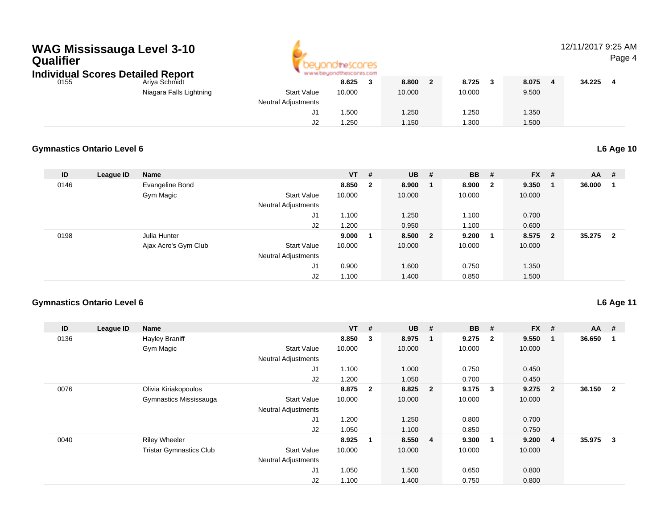

### 12/11/2017 9:25 AM

Page 4

| ndividual Scores Detailed Report |                         |                            | www.oeuonathescores.com |        |        |       |        |  |
|----------------------------------|-------------------------|----------------------------|-------------------------|--------|--------|-------|--------|--|
| 0155                             | Ariya Schmidt           |                            | 8.625                   | 8.800  | 8.725  | 8.075 | 34.225 |  |
|                                  | Niagara Falls Lightning | <b>Start Value</b>         | 10.000                  | 10.000 | 10.000 | 9.500 |        |  |
|                                  |                         | <b>Neutral Adiustments</b> |                         |        |        |       |        |  |
|                                  |                         |                            | .500                    | .250   | .250   | 1.350 |        |  |
|                                  |                         | J2                         | .250                    | 1.150  | .300   | .500  |        |  |

#### **Gymnastics Ontario Level 6L6 Age 10**

| ID   | League ID | <b>Name</b>          |                            | $VT$ # |              | <b>UB</b> | - # | <b>BB</b> | #                       | <b>FX</b> | #              | <b>AA</b> | #                       |
|------|-----------|----------------------|----------------------------|--------|--------------|-----------|-----|-----------|-------------------------|-----------|----------------|-----------|-------------------------|
| 0146 |           | Evangeline Bond      |                            | 8.850  | $\mathbf{2}$ | 8.900     |     | 8.900     | $\overline{\mathbf{2}}$ | 9.350     |                | 36.000    |                         |
|      |           | Gym Magic            | <b>Start Value</b>         | 10.000 |              | 10.000    |     | 10.000    |                         | 10.000    |                |           |                         |
|      |           |                      | <b>Neutral Adjustments</b> |        |              |           |     |           |                         |           |                |           |                         |
|      |           |                      | J1                         | 1.100  |              | 1.250     |     | 1.100     |                         | 0.700     |                |           |                         |
|      |           |                      | J2                         | 1.200  |              | 0.950     |     | 1.100     |                         | 0.600     |                |           |                         |
| 0198 |           | Julia Hunter         |                            | 9.000  |              | 8.500 2   |     | 9.200     |                         | 8.575     | $\overline{2}$ | 35.275    | $\overline{\mathbf{2}}$ |
|      |           | Ajax Acro's Gym Club | <b>Start Value</b>         | 10.000 |              | 10.000    |     | 10.000    |                         | 10.000    |                |           |                         |
|      |           |                      | <b>Neutral Adjustments</b> |        |              |           |     |           |                         |           |                |           |                         |
|      |           |                      | J1                         | 0.900  |              | 1.600     |     | 0.750     |                         | 1.350     |                |           |                         |
|      |           |                      | J2                         | 1.100  |              | 1.400     |     | 0.850     |                         | 1.500     |                |           |                         |

#### **Gymnastics Ontario Level 6**

**L6 Age 11**

| ID   | League ID | Name                           |                            | $VT$ # |                | <b>UB</b> | #                       | <b>BB</b> | #                       | <b>FX</b> | #              | $AA$ # |              |
|------|-----------|--------------------------------|----------------------------|--------|----------------|-----------|-------------------------|-----------|-------------------------|-----------|----------------|--------|--------------|
| 0136 |           | <b>Hayley Braniff</b>          |                            | 8.850  | 3              | 8.975     | $\blacksquare$          | 9.275     | $\overline{\mathbf{2}}$ | 9.550     | $\mathbf 1$    | 36.650 | 1            |
|      |           | Gym Magic                      | <b>Start Value</b>         | 10.000 |                | 10.000    |                         | 10.000    |                         | 10.000    |                |        |              |
|      |           |                                | <b>Neutral Adjustments</b> |        |                |           |                         |           |                         |           |                |        |              |
|      |           |                                | J <sub>1</sub>             | 1.100  |                | 1.000     |                         | 0.750     |                         | 0.450     |                |        |              |
|      |           |                                | J2                         | 1.200  |                | 1.050     |                         | 0.700     |                         | 0.450     |                |        |              |
| 0076 |           | Olivia Kiriakopoulos           |                            | 8.875  | $\overline{2}$ | 8.825     | $\overline{\mathbf{2}}$ | 9.175     | $\overline{\mathbf{3}}$ | 9.275     | $\overline{2}$ | 36.150 | $\mathbf{2}$ |
|      |           | Gymnastics Mississauga         | <b>Start Value</b>         | 10.000 |                | 10.000    |                         | 10.000    |                         | 10.000    |                |        |              |
|      |           |                                | <b>Neutral Adjustments</b> |        |                |           |                         |           |                         |           |                |        |              |
|      |           |                                | J <sub>1</sub>             | 1.200  |                | 1.250     |                         | 0.800     |                         | 0.700     |                |        |              |
|      |           |                                | J2                         | 1.050  |                | 1.100     |                         | 0.850     |                         | 0.750     |                |        |              |
| 0040 |           | <b>Riley Wheeler</b>           |                            | 8.925  | -1             | 8.550 4   |                         | 9.300     | $\overline{\mathbf{1}}$ | 9.200     | $\overline{4}$ | 35.975 | 3            |
|      |           | <b>Tristar Gymnastics Club</b> | <b>Start Value</b>         | 10.000 |                | 10.000    |                         | 10.000    |                         | 10.000    |                |        |              |
|      |           |                                | <b>Neutral Adjustments</b> |        |                |           |                         |           |                         |           |                |        |              |
|      |           |                                | J <sub>1</sub>             | 1.050  |                | 1.500     |                         | 0.650     |                         | 0.800     |                |        |              |
|      |           |                                | J <sub>2</sub>             | 1.100  |                | 1.400     |                         | 0.750     |                         | 0.800     |                |        |              |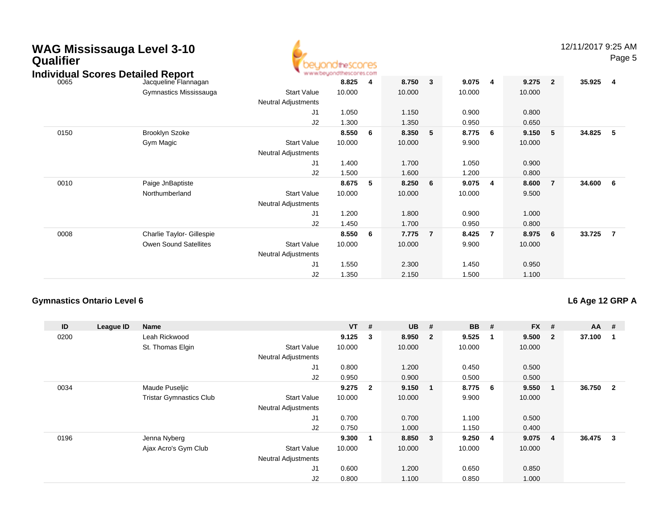| WAG Mississauga Level 3-10<br><b>Qualifier</b><br><b>Individual Scores Detailed Report</b> |                                                           |                                           | <b>ndirescores</b><br>www.beuondthescores.com |                         |                 |                |                 |                |                 |                | 12/11/2017 9:25 AM | Page 5                  |
|--------------------------------------------------------------------------------------------|-----------------------------------------------------------|-------------------------------------------|-----------------------------------------------|-------------------------|-----------------|----------------|-----------------|----------------|-----------------|----------------|--------------------|-------------------------|
| 0065                                                                                       | Jacqueline Flannagan                                      |                                           | 8.825                                         | $\overline{\mathbf{4}}$ | 8.750           | $\mathbf{3}$   | 9.075           | -4             | 9.275           | $\overline{2}$ | 35.925             | $\overline{\mathbf{4}}$ |
|                                                                                            | Gymnastics Mississauga                                    | <b>Start Value</b><br>Neutral Adjustments | 10.000                                        |                         | 10.000          |                | 10.000          |                | 10.000          |                |                    |                         |
|                                                                                            |                                                           | J1                                        | 1.050                                         |                         | 1.150           |                | 0.900           |                | 0.800           |                |                    |                         |
| 0150                                                                                       | <b>Brooklyn Szoke</b>                                     | J2                                        | 1.300<br>8.550                                | - 6                     | 1.350<br>8.350  | 5              | 0.950<br>8.775  | 6              | 0.650<br>9.150  | 5              | 34.825             | - 5                     |
|                                                                                            | Gym Magic                                                 | <b>Start Value</b><br>Neutral Adjustments | 10.000                                        |                         | 10.000          |                | 9.900           |                | 10.000          |                |                    |                         |
|                                                                                            |                                                           | J1<br>J2                                  | 1.400<br>1.500                                |                         | 1.700<br>1.600  |                | 1.050<br>1.200  |                | 0.900<br>0.800  |                |                    |                         |
| 0010                                                                                       | Paige JnBaptiste<br>Northumberland                        | <b>Start Value</b><br>Neutral Adjustments | 8.675<br>10.000                               | - 5                     | 8.250<br>10.000 | 6              | 9.075<br>10.000 | $\overline{4}$ | 8.600<br>9.500  | $\overline{7}$ | 34.600             | $6\overline{6}$         |
|                                                                                            |                                                           | J1<br>J2                                  | 1.200<br>1.450                                |                         | 1.800<br>1.700  |                | 0.900<br>0.950  |                | 1.000<br>0.800  |                |                    |                         |
| 0008                                                                                       | Charlie Taylor- Gillespie<br><b>Owen Sound Satellites</b> | <b>Start Value</b><br>Neutral Adjustments | 8.550<br>10.000                               | - 6                     | 7.775<br>10.000 | $\overline{7}$ | 8.425<br>9.900  | -7             | 8.975<br>10.000 | 6              | 33.725             | $\overline{7}$          |
|                                                                                            |                                                           | J <sub>1</sub><br>J2                      | 1.550<br>1.350                                |                         | 2.300<br>2.150  |                | 1.450<br>1.500  |                | 0.950<br>1.100  |                |                    |                         |

#### **Gymnastics Ontario Level 6**

#### **L6 Age 12 GRP A**

| ID   | League ID | <b>Name</b>                    |                            | <b>VT</b> | #                       | <b>UB</b> | #                       | <b>BB</b> | #  | <b>FX</b> | #              | $AA$ # |                |
|------|-----------|--------------------------------|----------------------------|-----------|-------------------------|-----------|-------------------------|-----------|----|-----------|----------------|--------|----------------|
| 0200 |           | Leah Rickwood                  |                            | 9.125     | $\overline{\mathbf{3}}$ | 8.950     | $\overline{\mathbf{2}}$ | 9.525     | -1 | 9.500     | $\overline{2}$ | 37.100 |                |
|      |           | St. Thomas Elgin               | <b>Start Value</b>         | 10.000    |                         | 10.000    |                         | 10.000    |    | 10.000    |                |        |                |
|      |           |                                | <b>Neutral Adjustments</b> |           |                         |           |                         |           |    |           |                |        |                |
|      |           |                                | J1                         | 0.800     |                         | 1.200     |                         | 0.450     |    | 0.500     |                |        |                |
|      |           |                                | J2                         | 0.950     |                         | 0.900     |                         | 0.500     |    | 0.500     |                |        |                |
| 0034 |           | Maude Puseljic                 |                            | 9.275     | $\overline{\mathbf{2}}$ | 9.150     | $\overline{\mathbf{1}}$ | 8.775     | 6  | 9.550     | 1              | 36.750 | $\overline{2}$ |
|      |           | <b>Tristar Gymnastics Club</b> | <b>Start Value</b>         | 10.000    |                         | 10.000    |                         | 9.900     |    | 10.000    |                |        |                |
|      |           |                                | <b>Neutral Adjustments</b> |           |                         |           |                         |           |    |           |                |        |                |
|      |           |                                | J1                         | 0.700     |                         | 0.700     |                         | 1.100     |    | 0.500     |                |        |                |
|      |           |                                | J2                         | 0.750     |                         | 1.000     |                         | 1.150     |    | 0.400     |                |        |                |
| 0196 |           | Jenna Nyberg                   |                            | 9.300     | -1                      | 8.850     | $\overline{\mathbf{3}}$ | 9.250     | 4  | 9.075     | $\overline{4}$ | 36.475 | 3              |
|      |           | Ajax Acro's Gym Club           | <b>Start Value</b>         | 10.000    |                         | 10.000    |                         | 10.000    |    | 10.000    |                |        |                |
|      |           |                                | <b>Neutral Adjustments</b> |           |                         |           |                         |           |    |           |                |        |                |
|      |           |                                | J1                         | 0.600     |                         | 1.200     |                         | 0.650     |    | 0.850     |                |        |                |
|      |           |                                | J <sub>2</sub>             | 0.800     |                         | 1.100     |                         | 0.850     |    | 1.000     |                |        |                |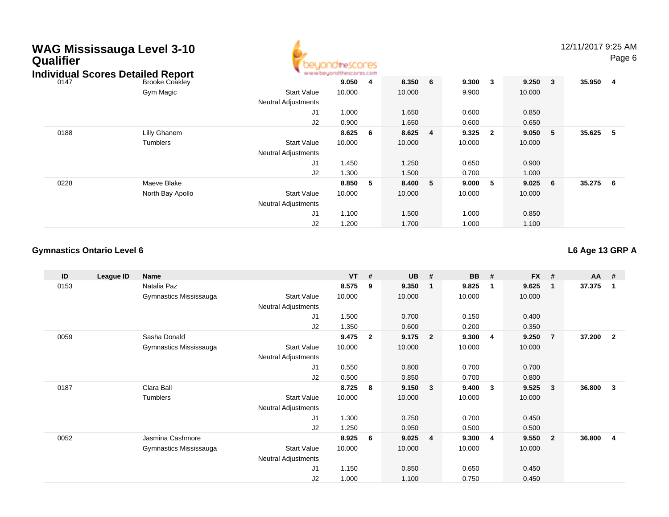| <b>Qualifier</b> | WAG Mississauga Level 3-10<br><b>Individual Scores Detailed Report</b> |                       |                                                  | escores |                         |        |                |        |                |        |              | 12/11/2017 9:25 AM | Page 6         |
|------------------|------------------------------------------------------------------------|-----------------------|--------------------------------------------------|---------|-------------------------|--------|----------------|--------|----------------|--------|--------------|--------------------|----------------|
|                  | 0147                                                                   | <b>Brooke Coakley</b> |                                                  | 9.050   | $\overline{\mathbf{4}}$ | 8.350  | 6              | 9.300  | $\mathbf{3}$   | 9.250  | $\mathbf{3}$ | 35.950             | $\overline{4}$ |
|                  |                                                                        | Gym Magic             | <b>Start Value</b><br><b>Neutral Adjustments</b> | 10.000  |                         | 10.000 |                | 9.900  |                | 10.000 |              |                    |                |
|                  |                                                                        |                       | J1                                               | 1.000   |                         | 1.650  |                | 0.600  |                | 0.850  |              |                    |                |
|                  |                                                                        |                       | J2                                               | 0.900   |                         | 1.650  |                | 0.600  |                | 0.650  |              |                    |                |
|                  | 0188                                                                   | Lilly Ghanem          |                                                  | 8.625   | 6                       | 8.625  | $\overline{4}$ | 9.325  | $\overline{2}$ | 9.050  | 5            | 35.625             | -5             |
|                  |                                                                        | <b>Tumblers</b>       | <b>Start Value</b><br><b>Neutral Adjustments</b> | 10.000  |                         | 10.000 |                | 10.000 |                | 10.000 |              |                    |                |
|                  |                                                                        |                       | J1                                               | 1.450   |                         | 1.250  |                | 0.650  |                | 0.900  |              |                    |                |
|                  |                                                                        |                       | J <sub>2</sub>                                   | 1.300   |                         | 1.500  |                | 0.700  |                | 1.000  |              |                    |                |
|                  | 0228                                                                   | Maeve Blake           |                                                  | 8.850   | - 5                     | 8.400  | 5              | 9.000  | - 5            | 9.025  | 6            | 35.275             | 6              |
|                  |                                                                        | North Bay Apollo      | <b>Start Value</b><br><b>Neutral Adjustments</b> | 10.000  |                         | 10.000 |                | 10.000 |                | 10.000 |              |                    |                |
|                  |                                                                        |                       | J1                                               | 1.100   |                         | 1.500  |                | 1.000  |                | 0.850  |              |                    |                |

J2

1.200 1.700 1.000 1.100

#### **Gymnastics Ontario Level 6**

**L6 Age 13 GRP A**

| ID   | League ID | <b>Name</b>            |                            | $VT$ # |              | <b>UB</b> | #                       | <b>BB</b> | #              | <b>FX</b> | #              | $AA$ # |              |
|------|-----------|------------------------|----------------------------|--------|--------------|-----------|-------------------------|-----------|----------------|-----------|----------------|--------|--------------|
| 0153 |           | Natalia Paz            |                            | 8.575  | 9            | 9.350     | $\mathbf{1}$            | 9.825     | -1             | 9.625     | $\mathbf{1}$   | 37.375 | 1            |
|      |           | Gymnastics Mississauga | <b>Start Value</b>         | 10.000 |              | 10.000    |                         | 10.000    |                | 10.000    |                |        |              |
|      |           |                        | <b>Neutral Adjustments</b> |        |              |           |                         |           |                |           |                |        |              |
|      |           |                        | J1                         | 1.500  |              | 0.700     |                         | 0.150     |                | 0.400     |                |        |              |
|      |           |                        | J2                         | 1.350  |              | 0.600     |                         | 0.200     |                | 0.350     |                |        |              |
| 0059 |           | Sasha Donald           |                            | 9.475  | $\mathbf{2}$ | 9.175     | $\overline{\mathbf{2}}$ | 9.300     | $\overline{4}$ | 9.250     | $\overline{7}$ | 37.200 | $\mathbf{2}$ |
|      |           | Gymnastics Mississauga | <b>Start Value</b>         | 10.000 |              | 10.000    |                         | 10.000    |                | 10.000    |                |        |              |
|      |           |                        | <b>Neutral Adjustments</b> |        |              |           |                         |           |                |           |                |        |              |
|      |           |                        | J1                         | 0.550  |              | 0.800     |                         | 0.700     |                | 0.700     |                |        |              |
|      |           |                        | J2                         | 0.500  |              | 0.850     |                         | 0.700     |                | 0.800     |                |        |              |
| 0187 |           | Clara Ball             |                            | 8.725  | 8            | 9.150     | $\mathbf{3}$            | 9.400     | $\mathbf{3}$   | 9.525     | $\mathbf{3}$   | 36.800 | 3            |
|      |           | Tumblers               | <b>Start Value</b>         | 10.000 |              | 10.000    |                         | 10.000    |                | 10.000    |                |        |              |
|      |           |                        | Neutral Adjustments        |        |              |           |                         |           |                |           |                |        |              |
|      |           |                        | J1                         | 1.300  |              | 0.750     |                         | 0.700     |                | 0.450     |                |        |              |
|      |           |                        | J2                         | 1.250  |              | 0.950     |                         | 0.500     |                | 0.500     |                |        |              |
| 0052 |           | Jasmina Cashmore       |                            | 8.925  | 6            | 9.025     | $\overline{4}$          | 9.300     | -4             | 9.550     | $\overline{2}$ | 36.800 | 4            |
|      |           | Gymnastics Mississauga | <b>Start Value</b>         | 10.000 |              | 10.000    |                         | 10.000    |                | 10.000    |                |        |              |
|      |           |                        | Neutral Adjustments        |        |              |           |                         |           |                |           |                |        |              |
|      |           |                        | J1                         | 1.150  |              | 0.850     |                         | 0.650     |                | 0.450     |                |        |              |
|      |           |                        | J <sub>2</sub>             | 1.000  |              | 1.100     |                         | 0.750     |                | 0.450     |                |        |              |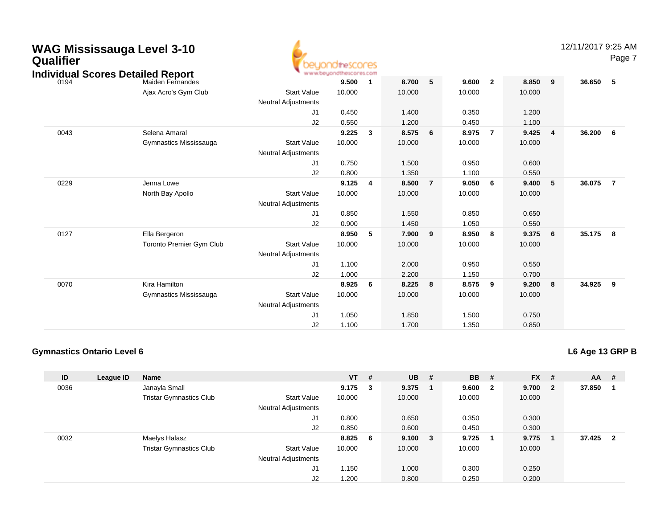| <b>WAG Mississauga Level 3-10</b><br>Qualifier<br><b>Individual Scores Detailed Report</b> |                                 |                                                  | beuondthescores<br>www.beyondthescores.com |                         |        |                |        |                |        |                | 12/11/2017 9:25 AM | Page 7         |
|--------------------------------------------------------------------------------------------|---------------------------------|--------------------------------------------------|--------------------------------------------|-------------------------|--------|----------------|--------|----------------|--------|----------------|--------------------|----------------|
| 0194                                                                                       | Maiden Fernandes                |                                                  | 9.500                                      | $\overline{\mathbf{1}}$ | 8.700  | 5              | 9.600  | $\overline{2}$ | 8.850  | 9              | 36.650             | 5              |
|                                                                                            | Ajax Acro's Gym Club            | <b>Start Value</b><br><b>Neutral Adjustments</b> | 10.000                                     |                         | 10.000 |                | 10.000 |                | 10.000 |                |                    |                |
|                                                                                            |                                 | J1                                               | 0.450                                      |                         | 1.400  |                | 0.350  |                | 1.200  |                |                    |                |
|                                                                                            |                                 | J2                                               | 0.550                                      |                         | 1.200  |                | 0.450  |                | 1.100  |                |                    |                |
| 0043                                                                                       | Selena Amaral                   |                                                  | 9.225                                      | $\overline{\mathbf{3}}$ | 8.575  | 6              | 8.975  | $\overline{7}$ | 9.425  | $\overline{4}$ | 36.200             | 6              |
|                                                                                            | Gymnastics Mississauga          | <b>Start Value</b><br><b>Neutral Adjustments</b> | 10.000                                     |                         | 10.000 |                | 10.000 |                | 10.000 |                |                    |                |
|                                                                                            |                                 | J1                                               | 0.750                                      |                         | 1.500  |                | 0.950  |                | 0.600  |                |                    |                |
|                                                                                            |                                 | J2                                               | 0.800                                      |                         | 1.350  |                | 1.100  |                | 0.550  |                |                    |                |
| 0229                                                                                       | Jenna Lowe                      |                                                  | 9.125                                      | $\overline{4}$          | 8.500  | $\overline{7}$ | 9.050  | 6              | 9.400  | 5              | 36.075             | $\overline{7}$ |
|                                                                                            | North Bay Apollo                | <b>Start Value</b>                               | 10.000                                     |                         | 10.000 |                | 10.000 |                | 10.000 |                |                    |                |
|                                                                                            |                                 | <b>Neutral Adjustments</b>                       |                                            |                         |        |                |        |                |        |                |                    |                |
|                                                                                            |                                 | J1                                               | 0.850                                      |                         | 1.550  |                | 0.850  |                | 0.650  |                |                    |                |
|                                                                                            |                                 | J2                                               | 0.900                                      |                         | 1.450  |                | 1.050  |                | 0.550  |                |                    |                |
| 0127                                                                                       | Ella Bergeron                   |                                                  | 8.950                                      | -5                      | 7.900  | 9              | 8.950  | 8              | 9.375  | 6              | 35.175             | - 8            |
|                                                                                            | <b>Toronto Premier Gym Club</b> | <b>Start Value</b>                               | 10.000                                     |                         | 10.000 |                | 10.000 |                | 10.000 |                |                    |                |
|                                                                                            |                                 | <b>Neutral Adjustments</b>                       |                                            |                         |        |                |        |                |        |                |                    |                |
|                                                                                            |                                 | J <sub>1</sub>                                   | 1.100                                      |                         | 2.000  |                | 0.950  |                | 0.550  |                |                    |                |
|                                                                                            |                                 | J2                                               | 1.000                                      |                         | 2.200  |                | 1.150  |                | 0.700  |                |                    |                |
| 0070                                                                                       | Kira Hamilton                   |                                                  | 8.925                                      | - 6                     | 8.225  | 8              | 8.575  | 9              | 9.200  | 8              | 34.925             | 9              |
|                                                                                            | Gymnastics Mississauga          | <b>Start Value</b>                               | 10.000                                     |                         | 10.000 |                | 10.000 |                | 10.000 |                |                    |                |
|                                                                                            |                                 | <b>Neutral Adjustments</b>                       |                                            |                         |        |                |        |                |        |                |                    |                |
|                                                                                            |                                 | J <sub>1</sub>                                   | 1.050                                      |                         | 1.850  |                | 1.500  |                | 0.750  |                |                    |                |
|                                                                                            |                                 | J2                                               | 1.100                                      |                         | 1.700  |                | 1.350  |                | 0.850  |                |                    |                |

#### **Gymnastics Ontario Level 6**

| L6 Age 13 GRP B |
|-----------------|
|-----------------|

| ID   | League ID | <b>Name</b>                    |                            | <b>VT</b> | #            | <b>UB</b> | #   | <b>BB</b> | #            | $FX$ # |                | $AA$ #   |  |
|------|-----------|--------------------------------|----------------------------|-----------|--------------|-----------|-----|-----------|--------------|--------|----------------|----------|--|
| 0036 |           | Janayla Small                  |                            | 9.175     | $\mathbf{3}$ | 9.375     |     | 9.600     | $\mathbf{2}$ | 9.700  | $\overline{2}$ | 37.850   |  |
|      |           | <b>Tristar Gymnastics Club</b> | <b>Start Value</b>         | 10.000    |              | 10.000    |     | 10.000    |              | 10.000 |                |          |  |
|      |           |                                | <b>Neutral Adjustments</b> |           |              |           |     |           |              |        |                |          |  |
|      |           |                                | J1                         | 0.800     |              | 0.650     |     | 0.350     |              | 0.300  |                |          |  |
|      |           |                                | J2                         | 0.850     |              | 0.600     |     | 0.450     |              | 0.300  |                |          |  |
| 0032 |           | Maelys Halasz                  |                            | 8.825     | - 6          | 9.100     | - 3 | 9.725     | 1            | 9.775  |                | 37.425 2 |  |
|      |           | <b>Tristar Gymnastics Club</b> | <b>Start Value</b>         | 10.000    |              | 10.000    |     | 10.000    |              | 10.000 |                |          |  |
|      |           |                                | <b>Neutral Adjustments</b> |           |              |           |     |           |              |        |                |          |  |
|      |           |                                | J1                         | 1.150     |              | 1.000     |     | 0.300     |              | 0.250  |                |          |  |
|      |           |                                | J2                         | 1.200     |              | 0.800     |     | 0.250     |              | 0.200  |                |          |  |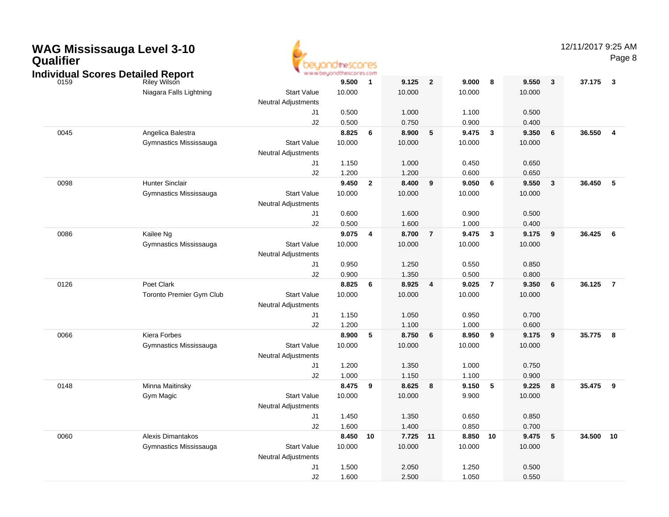| Qualifier | <b>WAG Mississauga Level 3-10</b><br><b>Individual Scores Detailed Report</b> |                          |                            | the SCOCES<br>www.beyondthescores.com |                         |        |                |          |                |        |            | 12/11/2017 9:25 AM | Page 8           |
|-----------|-------------------------------------------------------------------------------|--------------------------|----------------------------|---------------------------------------|-------------------------|--------|----------------|----------|----------------|--------|------------|--------------------|------------------|
|           | 0159                                                                          | Riley Wilson             |                            | 9.500                                 | $\overline{\mathbf{1}}$ | 9.125  | $\mathbf{2}$   | 9.000    | 8              | 9.550  | 3          | 37.175             | $\boldsymbol{3}$ |
|           |                                                                               | Niagara Falls Lightning  | <b>Start Value</b>         | 10.000                                |                         | 10.000 |                | 10.000   |                | 10.000 |            |                    |                  |
|           |                                                                               |                          | <b>Neutral Adjustments</b> |                                       |                         |        |                |          |                |        |            |                    |                  |
|           |                                                                               |                          | J1                         | 0.500                                 |                         | 1.000  |                | 1.100    |                | 0.500  |            |                    |                  |
|           |                                                                               |                          | J2                         | 0.500                                 |                         | 0.750  |                | 0.900    |                | 0.400  |            |                    |                  |
|           | 0045                                                                          | Angelica Balestra        |                            | 8.825                                 | - 6                     | 8.900  | 5              | 9.475    | 3              | 9.350  | 6          | 36.550             | 4                |
|           |                                                                               | Gymnastics Mississauga   | <b>Start Value</b>         | 10.000                                |                         | 10.000 |                | 10.000   |                | 10.000 |            |                    |                  |
|           |                                                                               |                          | <b>Neutral Adjustments</b> |                                       |                         |        |                |          |                |        |            |                    |                  |
|           |                                                                               |                          | J1                         | 1.150                                 |                         | 1.000  |                | 0.450    |                | 0.650  |            |                    |                  |
|           |                                                                               |                          | J2                         | 1.200                                 |                         | 1.200  |                | 0.600    |                | 0.650  |            |                    |                  |
|           | 0098                                                                          | <b>Hunter Sinclair</b>   |                            | 9.450                                 | $\overline{\mathbf{2}}$ | 8.400  | 9              | 9.050    | 6              | 9.550  | 3          | 36.450             | 5                |
|           |                                                                               | Gymnastics Mississauga   | <b>Start Value</b>         | 10.000                                |                         | 10.000 |                | 10.000   |                | 10.000 |            |                    |                  |
|           |                                                                               |                          | <b>Neutral Adjustments</b> |                                       |                         |        |                |          |                |        |            |                    |                  |
|           |                                                                               |                          | J1                         | 0.600                                 |                         | 1.600  |                | 0.900    |                | 0.500  |            |                    |                  |
|           |                                                                               |                          | J <sub>2</sub>             | 0.500                                 |                         | 1.600  |                | 1.000    |                | 0.400  |            |                    |                  |
|           | 0086                                                                          | Kailee Ng                |                            | 9.075                                 | 4                       | 8.700  | $\overline{7}$ | 9.475    | 3              | 9.175  | 9          | 36.425             | 6                |
|           |                                                                               | Gymnastics Mississauga   | <b>Start Value</b>         | 10.000                                |                         | 10.000 |                | 10.000   |                | 10.000 |            |                    |                  |
|           |                                                                               |                          | <b>Neutral Adjustments</b> |                                       |                         |        |                |          |                |        |            |                    |                  |
|           |                                                                               |                          | J1                         | 0.950                                 |                         | 1.250  |                | 0.550    |                | 0.850  |            |                    |                  |
|           |                                                                               |                          | J2                         | 0.900                                 |                         | 1.350  |                | 0.500    |                | 0.800  |            |                    |                  |
|           | 0126                                                                          | Poet Clark               |                            | 8.825                                 | - 6                     | 8.925  | 4              | 9.025    | $\overline{7}$ | 9.350  | 6          | 36.125 7           |                  |
|           |                                                                               | Toronto Premier Gym Club | <b>Start Value</b>         | 10.000                                |                         | 10.000 |                | 10.000   |                | 10.000 |            |                    |                  |
|           |                                                                               |                          | <b>Neutral Adjustments</b> |                                       |                         |        |                |          |                |        |            |                    |                  |
|           |                                                                               |                          | J1                         | 1.150                                 |                         | 1.050  |                | 0.950    |                | 0.700  |            |                    |                  |
|           |                                                                               |                          | J2                         | 1.200                                 |                         | 1.100  |                | 1.000    |                | 0.600  |            |                    |                  |
|           | 0066                                                                          | Kiera Forbes             |                            | 8.900                                 | 5                       | 8.750  | 6              | 8.950    | 9              | 9.175  | 9          | 35.775             | 8                |
|           |                                                                               | Gymnastics Mississauga   | <b>Start Value</b>         | 10.000                                |                         | 10.000 |                | 10.000   |                | 10.000 |            |                    |                  |
|           |                                                                               |                          | <b>Neutral Adjustments</b> |                                       |                         |        |                |          |                |        |            |                    |                  |
|           |                                                                               |                          | J1                         | 1.200                                 |                         | 1.350  |                | 1.000    |                | 0.750  |            |                    |                  |
|           |                                                                               |                          | J2                         | 1.000                                 |                         | 1.150  |                | 1.100    |                | 0.900  |            |                    |                  |
|           | 0148                                                                          | Minna Maitinsky          |                            | 8.475                                 | 9                       | 8.625  | 8              | 9.150    | 5              | 9.225  | 8          | 35.475             | - 9              |
|           |                                                                               | Gym Magic                | <b>Start Value</b>         | 10.000                                |                         | 10.000 |                | 9.900    |                | 10.000 |            |                    |                  |
|           |                                                                               |                          | <b>Neutral Adjustments</b> |                                       |                         |        |                |          |                |        |            |                    |                  |
|           |                                                                               |                          | J1                         | 1.450                                 |                         | 1.350  |                | 0.650    |                | 0.850  |            |                    |                  |
|           |                                                                               |                          | J2                         | 1.600                                 |                         | 1.400  |                | 0.850    |                | 0.700  |            |                    |                  |
|           | 0060                                                                          | Alexis Dimantakos        |                            | 8.450 10                              |                         | 7.725  | 11             | 8.850 10 |                | 9.475  | $\sqrt{5}$ | 34.500 10          |                  |
|           |                                                                               | Gymnastics Mississauga   | <b>Start Value</b>         | 10.000                                |                         | 10.000 |                | 10.000   |                | 10.000 |            |                    |                  |
|           |                                                                               |                          | Neutral Adjustments        |                                       |                         |        |                |          |                |        |            |                    |                  |
|           |                                                                               |                          | J1                         | 1.500                                 |                         | 2.050  |                | 1.250    |                | 0.500  |            |                    |                  |
|           |                                                                               |                          | J2                         | 1.600                                 |                         | 2.500  |                | 1.050    |                | 0.550  |            |                    |                  |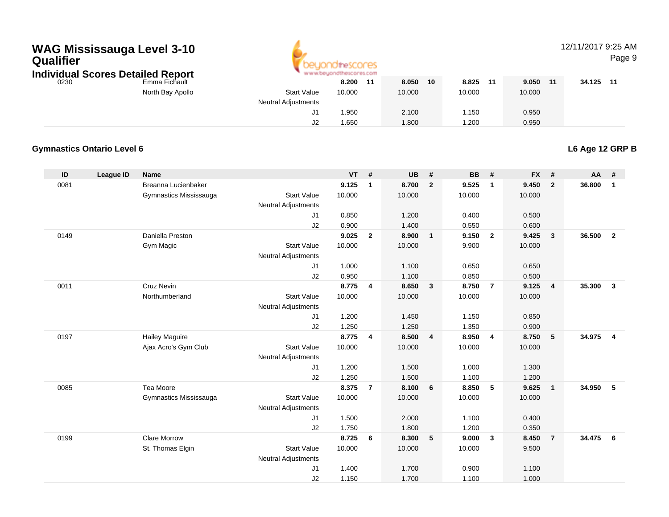## **WAG Mississauga Level 3-10 Qualifier**



### 12/11/2017 9:25 AM

Page 9

**Individual Scores Detailed Report**

|      | aaal Ocores Detaned Report |                     |        |    |        |    |        |    |        |    |        |    |
|------|----------------------------|---------------------|--------|----|--------|----|--------|----|--------|----|--------|----|
| 0230 | Emma Fichault              |                     | 8.200  | 11 | 8.050  | 10 | 8.825  | 11 | 9.050  | 11 | 34.125 | 11 |
|      | North Bay Apollo           | <b>Start Value</b>  | 10.000 |    | 10.000 |    | 10.000 |    | 10.000 |    |        |    |
|      |                            | Neutral Adjustments |        |    |        |    |        |    |        |    |        |    |
|      |                            |                     | .950   |    | 2.100  |    | l.150  |    | 0.950  |    |        |    |
|      |                            | J2                  | 1.650  |    | 1.800  |    | .200   |    | 0.950  |    |        |    |
|      |                            |                     |        |    |        |    |        |    |        |    |        |    |

#### **Gymnastics Ontario Level 6**

**L6 Age 12 GRP B**

| ID   | <b>League ID</b> | <b>Name</b>            |                            | $VT$ # |                | <b>UB</b> | #                       | <b>BB</b> | #              | <b>FX</b> | #              | <b>AA</b> | #              |
|------|------------------|------------------------|----------------------------|--------|----------------|-----------|-------------------------|-----------|----------------|-----------|----------------|-----------|----------------|
| 0081 |                  | Breanna Lucienbaker    |                            | 9.125  | $\overline{1}$ | 8.700     | $\overline{2}$          | 9.525     | $\overline{1}$ | 9.450     | $\overline{2}$ | 36.800    | $\mathbf{1}$   |
|      |                  | Gymnastics Mississauga | <b>Start Value</b>         | 10.000 |                | 10.000    |                         | 10.000    |                | 10.000    |                |           |                |
|      |                  |                        | <b>Neutral Adjustments</b> |        |                |           |                         |           |                |           |                |           |                |
|      |                  |                        | J1                         | 0.850  |                | 1.200     |                         | 0.400     |                | 0.500     |                |           |                |
|      |                  |                        | J2                         | 0.900  |                | 1.400     |                         | 0.550     |                | 0.600     |                |           |                |
| 0149 |                  | Daniella Preston       |                            | 9.025  | $\overline{2}$ | 8.900     | $\overline{1}$          | 9.150     | $\overline{2}$ | 9.425     | $\mathbf{3}$   | 36.500    | $\overline{2}$ |
|      |                  | Gym Magic              | <b>Start Value</b>         | 10.000 |                | 10.000    |                         | 9.900     |                | 10.000    |                |           |                |
|      |                  |                        | Neutral Adjustments        |        |                |           |                         |           |                |           |                |           |                |
|      |                  |                        | J1                         | 1.000  |                | 1.100     |                         | 0.650     |                | 0.650     |                |           |                |
|      |                  |                        | J2                         | 0.950  |                | 1.100     |                         | 0.850     |                | 0.500     |                |           |                |
| 0011 |                  | <b>Cruz Nevin</b>      |                            | 8.775  | $\overline{4}$ | 8.650     | $\overline{\mathbf{3}}$ | 8.750     | $\overline{7}$ | 9.125     | $\overline{4}$ | 35.300    | $\mathbf{3}$   |
|      |                  | Northumberland         | <b>Start Value</b>         | 10.000 |                | 10.000    |                         | 10.000    |                | 10.000    |                |           |                |
|      |                  |                        | <b>Neutral Adjustments</b> |        |                |           |                         |           |                |           |                |           |                |
|      |                  |                        | J1                         | 1.200  |                | 1.450     |                         | 1.150     |                | 0.850     |                |           |                |
|      |                  |                        | J2                         | 1.250  |                | 1.250     |                         | 1.350     |                | 0.900     |                |           |                |
| 0197 |                  | <b>Hailey Maguire</b>  |                            | 8.775  | $\overline{4}$ | 8.500     | $\overline{\mathbf{4}}$ | 8.950     | $\overline{4}$ | 8.750     | 5              | 34.975    | $\overline{4}$ |
|      |                  | Ajax Acro's Gym Club   | <b>Start Value</b>         | 10.000 |                | 10.000    |                         | 10.000    |                | 10.000    |                |           |                |
|      |                  |                        | <b>Neutral Adjustments</b> |        |                |           |                         |           |                |           |                |           |                |
|      |                  |                        | J1                         | 1.200  |                | 1.500     |                         | 1.000     |                | 1.300     |                |           |                |
|      |                  |                        | J2                         | 1.250  |                | 1.500     |                         | 1.100     |                | 1.200     |                |           |                |
| 0085 |                  | Tea Moore              |                            | 8.375  | $\overline{7}$ | 8.100     | 6                       | 8.850     | 5              | 9.625     | $\overline{1}$ | 34.950    | 5              |
|      |                  | Gymnastics Mississauga | <b>Start Value</b>         | 10.000 |                | 10.000    |                         | 10.000    |                | 10.000    |                |           |                |
|      |                  |                        | Neutral Adjustments        |        |                |           |                         |           |                |           |                |           |                |
|      |                  |                        | J1                         | 1.500  |                | 2.000     |                         | 1.100     |                | 0.400     |                |           |                |
|      |                  |                        | J2                         | 1.750  |                | 1.800     |                         | 1.200     |                | 0.350     |                |           |                |
| 0199 |                  | <b>Clare Morrow</b>    |                            | 8.725  | 6              | 8.300     | $5^{\circ}$             | 9.000     | $\mathbf{3}$   | 8.450     | $\overline{7}$ | 34.475    | 6              |
|      |                  | St. Thomas Elgin       | <b>Start Value</b>         | 10.000 |                | 10.000    |                         | 10.000    |                | 9.500     |                |           |                |
|      |                  |                        | <b>Neutral Adjustments</b> |        |                |           |                         |           |                |           |                |           |                |
|      |                  |                        | J1                         | 1.400  |                | 1.700     |                         | 0.900     |                | 1.100     |                |           |                |
|      |                  |                        | J2                         | 1.150  |                | 1.700     |                         | 1.100     |                | 1.000     |                |           |                |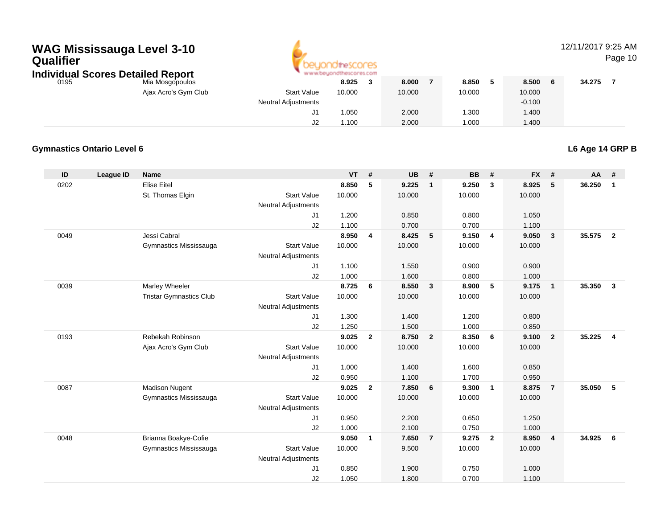## **WAG Mississauga Level 3-10 Qualifier**



#### 12/11/2017 9:25 AM

Page 10

**Individual Scores Detailed Report**

|      | <u>aaa, seel oo seamoo iyopeiy</u> |                            |        |        |        |             |        |   |
|------|------------------------------------|----------------------------|--------|--------|--------|-------------|--------|---|
| 0195 | Mia Mosgopoulos                    |                            | 8.925  | 8.000  | 8.850  | 8.500       | 34.275 | – |
|      | Ajax Acro's Gym Club               | <b>Start Value</b>         | 10.000 | 10.000 | 10.000 | 10.000      |        |   |
|      |                                    | <b>Neutral Adjustments</b> |        |        |        | $-0.100$    |        |   |
|      |                                    | J1                         | 1.050  | 2.000  | .300   | 1.400       |        |   |
|      |                                    | J2                         | 1.100  | 2.000  | .000   | <b>.400</b> |        |   |
|      |                                    |                            |        |        |        |             |        |   |

#### **Gymnastics Ontario Level 6**

**L6 Age 14 GRP B**

| ID   | <b>League ID</b> | <b>Name</b>                    |                     | <b>VT</b>      | #              | <b>UB</b> | #                       | <b>BB</b>      | #                       | <b>FX</b>      | #              | $AA$ # |                |
|------|------------------|--------------------------------|---------------------|----------------|----------------|-----------|-------------------------|----------------|-------------------------|----------------|----------------|--------|----------------|
| 0202 |                  | <b>Elise Eitel</b>             |                     | 8.850          | 5              | 9.225     | $\overline{1}$          | 9.250          | $\mathbf{3}$            | 8.925          | 5              | 36.250 | $\mathbf{1}$   |
|      |                  | St. Thomas Elgin               | <b>Start Value</b>  | 10.000         |                | 10.000    |                         | 10.000         |                         | 10.000         |                |        |                |
|      |                  |                                | Neutral Adjustments |                |                |           |                         |                |                         |                |                |        |                |
|      |                  |                                | J1                  | 1.200          |                | 0.850     |                         | 0.800          |                         | 1.050          |                |        |                |
|      |                  |                                | J2                  | 1.100          |                | 0.700     |                         | 0.700          |                         | 1.100          |                |        |                |
| 0049 |                  | Jessi Cabral                   |                     | 8.950          | 4              | 8.425     | $5\phantom{.0}$         | 9.150          | $\overline{4}$          | 9.050          | $\mathbf{3}$   | 35.575 | $\overline{2}$ |
|      |                  | Gymnastics Mississauga         | <b>Start Value</b>  | 10.000         |                | 10.000    |                         | 10.000         |                         | 10.000         |                |        |                |
|      |                  |                                | Neutral Adjustments |                |                |           |                         |                |                         |                |                |        |                |
|      |                  |                                | J1                  | 1.100          |                | 1.550     |                         | 0.900          |                         | 0.900          |                |        |                |
|      |                  |                                | J2                  | 1.000          |                | 1.600     |                         | 0.800          |                         | 1.000          |                |        |                |
| 0039 |                  | Marley Wheeler                 |                     | 8.725          | 6              | 8.550     | $\overline{\mathbf{3}}$ | 8.900          | 5                       | 9.175          | $\overline{1}$ | 35.350 | $\mathbf{3}$   |
|      |                  | <b>Tristar Gymnastics Club</b> | <b>Start Value</b>  | 10.000         |                | 10.000    |                         | 10.000         |                         | 10.000         |                |        |                |
|      |                  |                                | Neutral Adjustments |                |                |           |                         |                |                         |                |                |        |                |
|      |                  |                                | J1                  | 1.300          |                | 1.400     |                         | 1.200          |                         | 0.800          |                |        |                |
|      |                  |                                | J2                  | 1.250          |                | 1.500     |                         | 1.000          |                         | 0.850          |                |        |                |
| 0193 |                  | Rebekah Robinson               |                     | 9.025          | $\overline{2}$ | 8.750     | $\overline{2}$          | 8.350          | 6                       | 9.100          | $\overline{2}$ | 35.225 | $\overline{4}$ |
|      |                  | Ajax Acro's Gym Club           | <b>Start Value</b>  | 10.000         |                | 10.000    |                         | 10.000         |                         | 10.000         |                |        |                |
|      |                  |                                | Neutral Adjustments |                |                |           |                         |                |                         |                |                |        |                |
|      |                  |                                | J1                  | 1.000          |                | 1.400     |                         | 1.600          |                         | 0.850          |                |        |                |
|      |                  |                                | J2                  | 0.950          |                | 1.100     |                         | 1.700          |                         | 0.950          |                |        |                |
| 0087 |                  | <b>Madison Nugent</b>          |                     | 9.025          | $\overline{2}$ | 7.850     | 6                       | 9.300          | $\overline{1}$          | 8.875          | $\overline{7}$ | 35.050 | 5              |
|      |                  | Gymnastics Mississauga         | <b>Start Value</b>  | 10.000         |                | 10.000    |                         | 10.000         |                         | 10.000         |                |        |                |
|      |                  |                                | Neutral Adjustments | 0.950          |                | 2.200     |                         | 0.650          |                         | 1.250          |                |        |                |
|      |                  |                                | J1<br>J2            |                |                | 2.100     |                         |                |                         |                |                |        |                |
| 0048 |                  | Brianna Boakye-Cofie           |                     | 1.000<br>9.050 | $\mathbf{1}$   | 7.650     | $\overline{7}$          | 0.750<br>9.275 | $\overline{\mathbf{2}}$ | 1.000<br>8.950 | $\overline{4}$ | 34.925 | 6              |
|      |                  |                                | <b>Start Value</b>  | 10.000         |                |           |                         | 10.000         |                         |                |                |        |                |
|      |                  | Gymnastics Mississauga         | Neutral Adjustments |                |                | 9.500     |                         |                |                         | 10.000         |                |        |                |
|      |                  |                                | J1                  | 0.850          |                | 1.900     |                         | 0.750          |                         | 1.000          |                |        |                |
|      |                  |                                | J2                  | 1.050          |                | 1.800     |                         | 0.700          |                         | 1.100          |                |        |                |
|      |                  |                                |                     |                |                |           |                         |                |                         |                |                |        |                |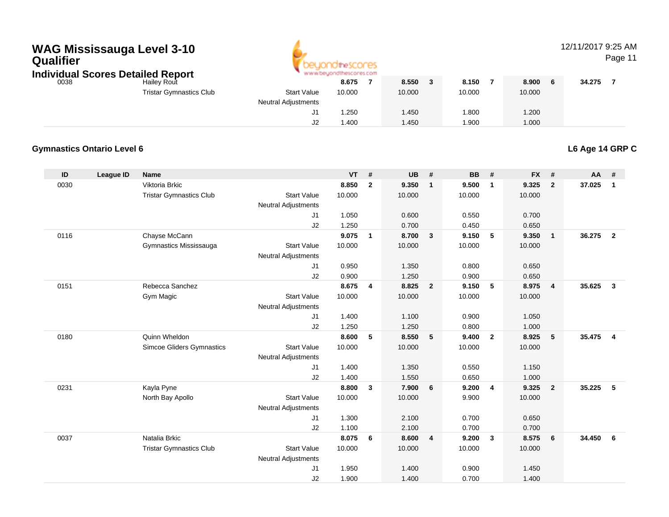# **WAG Mississauga Level 3-10 Qualifier**



#### 12/11/2017 9:25 AM

Page 11

|      | Individual Scores Detailed Report |  |
|------|-----------------------------------|--|
| 0038 | <b>Hailey Rout</b>                |  |

| Hailey Rout                    |                             | 8.675  | 8.550                                                      | 8.150  | 8.900  | 34.275 |
|--------------------------------|-----------------------------|--------|------------------------------------------------------------|--------|--------|--------|
| <b>Tristar Gymnastics Club</b> | <b>Start Value</b>          | 10.000 | 10.000                                                     | 10.000 | 10.000 |        |
|                                | <b>Neutral Adjustments</b>  |        |                                                            |        |        |        |
|                                | ັ                           | .250   | .450                                                       | 1.800  | 1.200  |        |
|                                | JZ                          | .400   | .450                                                       | 1.900  | 1.000  |        |
|                                | idi ƏCOLES DELDILEY KEDDI L |        | THE THE TRUNK SERVICE PARTIES FROM AN ALL AND RELEASED FOR |        |        |        |

#### **Gymnastics Ontario Level 6**

**L6 Age 14 GRP C**

| ID   | League ID | <b>Name</b>                    |                            | <b>VT</b> | #            | <b>UB</b> | #              | <b>BB</b> | #                       | <b>FX</b> | #              | AA     | #                       |
|------|-----------|--------------------------------|----------------------------|-----------|--------------|-----------|----------------|-----------|-------------------------|-----------|----------------|--------|-------------------------|
| 0030 |           | Viktoria Brkic                 |                            | 8.850     | $\mathbf{2}$ | 9.350     | $\mathbf{1}$   | 9.500     | $\overline{1}$          | 9.325     | $\overline{2}$ | 37.025 | $\mathbf{1}$            |
|      |           | <b>Tristar Gymnastics Club</b> | <b>Start Value</b>         | 10.000    |              | 10.000    |                | 10.000    |                         | 10.000    |                |        |                         |
|      |           |                                | <b>Neutral Adjustments</b> |           |              |           |                |           |                         |           |                |        |                         |
|      |           |                                | J1                         | 1.050     |              | 0.600     |                | 0.550     |                         | 0.700     |                |        |                         |
|      |           |                                | J2                         | 1.250     |              | 0.700     |                | 0.450     |                         | 0.650     |                |        |                         |
| 0116 |           | Chayse McCann                  |                            | 9.075     | $\mathbf{1}$ | 8.700     | $\mathbf{3}$   | 9.150     | 5                       | 9.350     | $\overline{1}$ | 36.275 | $\overline{2}$          |
|      |           | Gymnastics Mississauga         | <b>Start Value</b>         | 10.000    |              | 10.000    |                | 10.000    |                         | 10.000    |                |        |                         |
|      |           |                                | <b>Neutral Adjustments</b> |           |              |           |                |           |                         |           |                |        |                         |
|      |           |                                | J1                         | 0.950     |              | 1.350     |                | 0.800     |                         | 0.650     |                |        |                         |
|      |           |                                | J2                         | 0.900     |              | 1.250     |                | 0.900     |                         | 0.650     |                |        |                         |
| 0151 |           | Rebecca Sanchez                |                            | 8.675     | 4            | 8.825     | $\overline{2}$ | 9.150     | 5                       | 8.975     | $\overline{4}$ | 35.625 | $\overline{\mathbf{3}}$ |
|      |           | Gym Magic                      | <b>Start Value</b>         | 10.000    |              | 10.000    |                | 10.000    |                         | 10.000    |                |        |                         |
|      |           |                                | <b>Neutral Adjustments</b> |           |              |           |                |           |                         |           |                |        |                         |
|      |           |                                | J1                         | 1.400     |              | 1.100     |                | 0.900     |                         | 1.050     |                |        |                         |
|      |           |                                | J2                         | 1.250     |              | 1.250     |                | 0.800     |                         | 1.000     |                |        |                         |
| 0180 |           | Quinn Wheldon                  |                            | 8.600     | 5            | 8.550     | 5              | 9.400     | $\overline{2}$          | 8.925     | 5              | 35.475 | $\overline{4}$          |
|      |           | Simcoe Gliders Gymnastics      | <b>Start Value</b>         | 10.000    |              | 10.000    |                | 10.000    |                         | 10.000    |                |        |                         |
|      |           |                                | <b>Neutral Adjustments</b> |           |              |           |                |           |                         |           |                |        |                         |
|      |           |                                | J1                         | 1.400     |              | 1.350     |                | 0.550     |                         | 1.150     |                |        |                         |
|      |           |                                | J2                         | 1.400     |              | 1.550     |                | 0.650     |                         | 1.000     |                |        |                         |
| 0231 |           | Kayla Pyne                     |                            | 8.800     | $\mathbf{3}$ | 7.900     | 6              | 9.200     | $\overline{4}$          | 9.325     | $\overline{2}$ | 35.225 | -5                      |
|      |           | North Bay Apollo               | <b>Start Value</b>         | 10.000    |              | 10.000    |                | 9.900     |                         | 10.000    |                |        |                         |
|      |           |                                | <b>Neutral Adjustments</b> |           |              |           |                |           |                         |           |                |        |                         |
|      |           |                                | J1                         | 1.300     |              | 2.100     |                | 0.700     |                         | 0.650     |                |        |                         |
|      |           |                                | J2                         | 1.100     |              | 2.100     |                | 0.700     |                         | 0.700     |                |        |                         |
| 0037 |           | Natalia Brkic                  |                            | 8.075     | 6            | 8.600     | 4              | 9.200     | $\overline{\mathbf{3}}$ | 8.575     | 6              | 34.450 | - 6                     |
|      |           | <b>Tristar Gymnastics Club</b> | <b>Start Value</b>         | 10.000    |              | 10.000    |                | 10.000    |                         | 10.000    |                |        |                         |
|      |           |                                | <b>Neutral Adjustments</b> |           |              |           |                |           |                         |           |                |        |                         |
|      |           |                                | J <sub>1</sub>             | 1.950     |              | 1.400     |                | 0.900     |                         | 1.450     |                |        |                         |
|      |           |                                | J2                         | 1.900     |              | 1.400     |                | 0.700     |                         | 1.400     |                |        |                         |